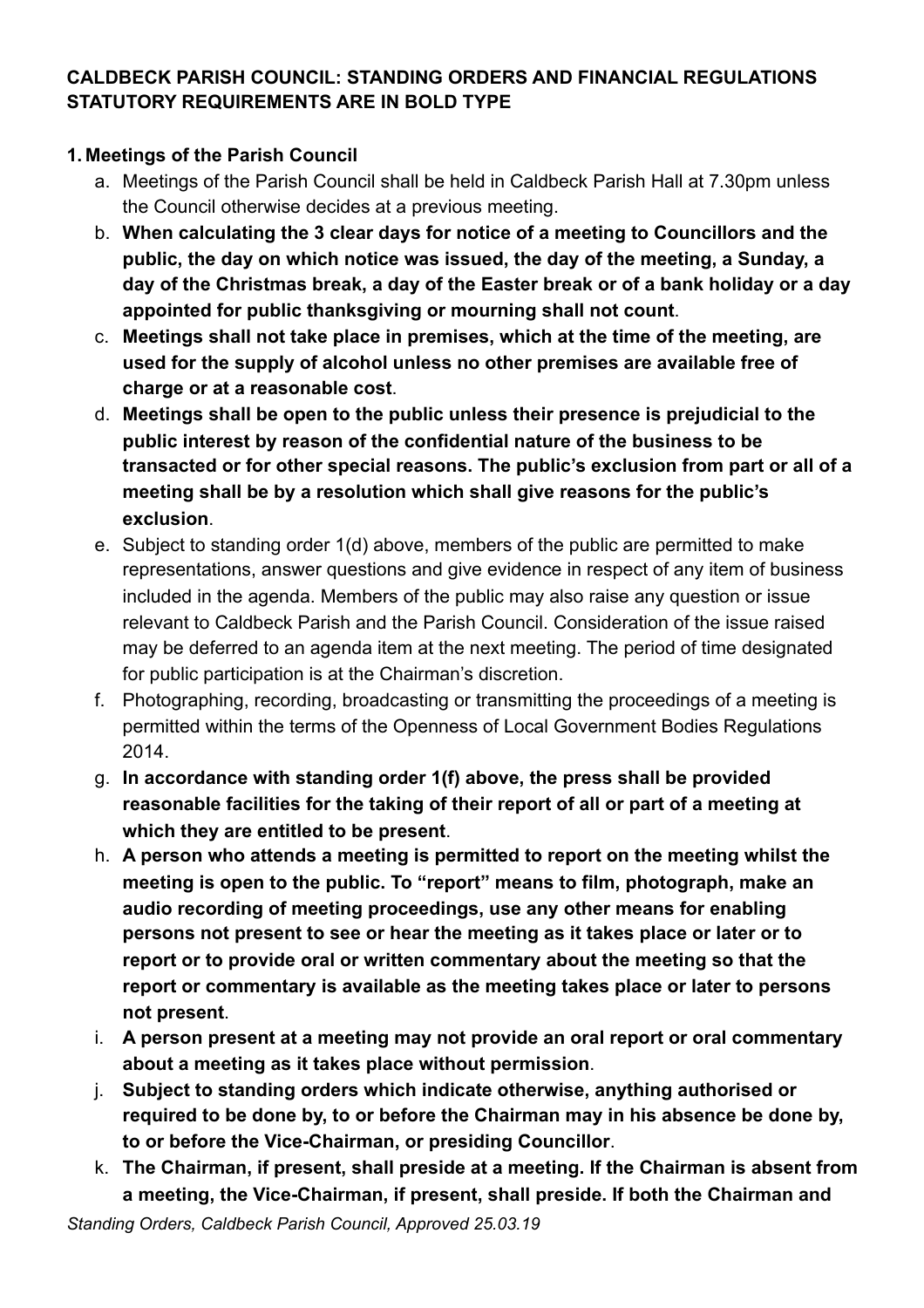### **CALDBECK PARISH COUNCIL: STANDING ORDERS AND FINANCIAL REGULATIONS STATUTORY REQUIREMENTS ARE IN BOLD TYPE**

### **1. Meetings of the Parish Council**

- a. Meetings of the Parish Council shall be held in Caldbeck Parish Hall at 7.30pm unless the Council otherwise decides at a previous meeting.
- b. **When calculating the 3 clear days for notice of a meeting to Councillors and the public, the day on which notice was issued, the day of the meeting, a Sunday, a day of the Christmas break, a day of the Easter break or of a bank holiday or a day appointed for public thanksgiving or mourning shall not count**.
- c. **Meetings shall not take place in premises, which at the time of the meeting, are used for the supply of alcohol unless no other premises are available free of charge or at a reasonable cost**.
- d. **Meetings shall be open to the public unless their presence is prejudicial to the public interest by reason of the confidential nature of the business to be transacted or for other special reasons. The public's exclusion from part or all of a meeting shall be by a resolution which shall give reasons for the public's exclusion**.
- e. Subject to standing order 1(d) above, members of the public are permitted to make representations, answer questions and give evidence in respect of any item of business included in the agenda. Members of the public may also raise any question or issue relevant to Caldbeck Parish and the Parish Council. Consideration of the issue raised may be deferred to an agenda item at the next meeting. The period of time designated for public participation is at the Chairman's discretion.
- f. Photographing, recording, broadcasting or transmitting the proceedings of a meeting is permitted within the terms of the Openness of Local Government Bodies Regulations 2014.
- g. **In accordance with standing order 1(f) above, the press shall be provided reasonable facilities for the taking of their report of all or part of a meeting at which they are entitled to be present**.
- h. **A person who attends a meeting is permitted to report on the meeting whilst the meeting is open to the public. To "report" means to film, photograph, make an audio recording of meeting proceedings, use any other means for enabling persons not present to see or hear the meeting as it takes place or later or to report or to provide oral or written commentary about the meeting so that the report or commentary is available as the meeting takes place or later to persons not present**.
- i. **A person present at a meeting may not provide an oral report or oral commentary about a meeting as it takes place without permission**.
- j. **Subject to standing orders which indicate otherwise, anything authorised or required to be done by, to or before the Chairman may in his absence be done by, to or before the Vice-Chairman, or presiding Councillor**.
- k. **The Chairman, if present, shall preside at a meeting. If the Chairman is absent from a meeting, the Vice-Chairman, if present, shall preside. If both the Chairman and**

*Standing Orders, Caldbeck Parish Council, Approved 25.03.19*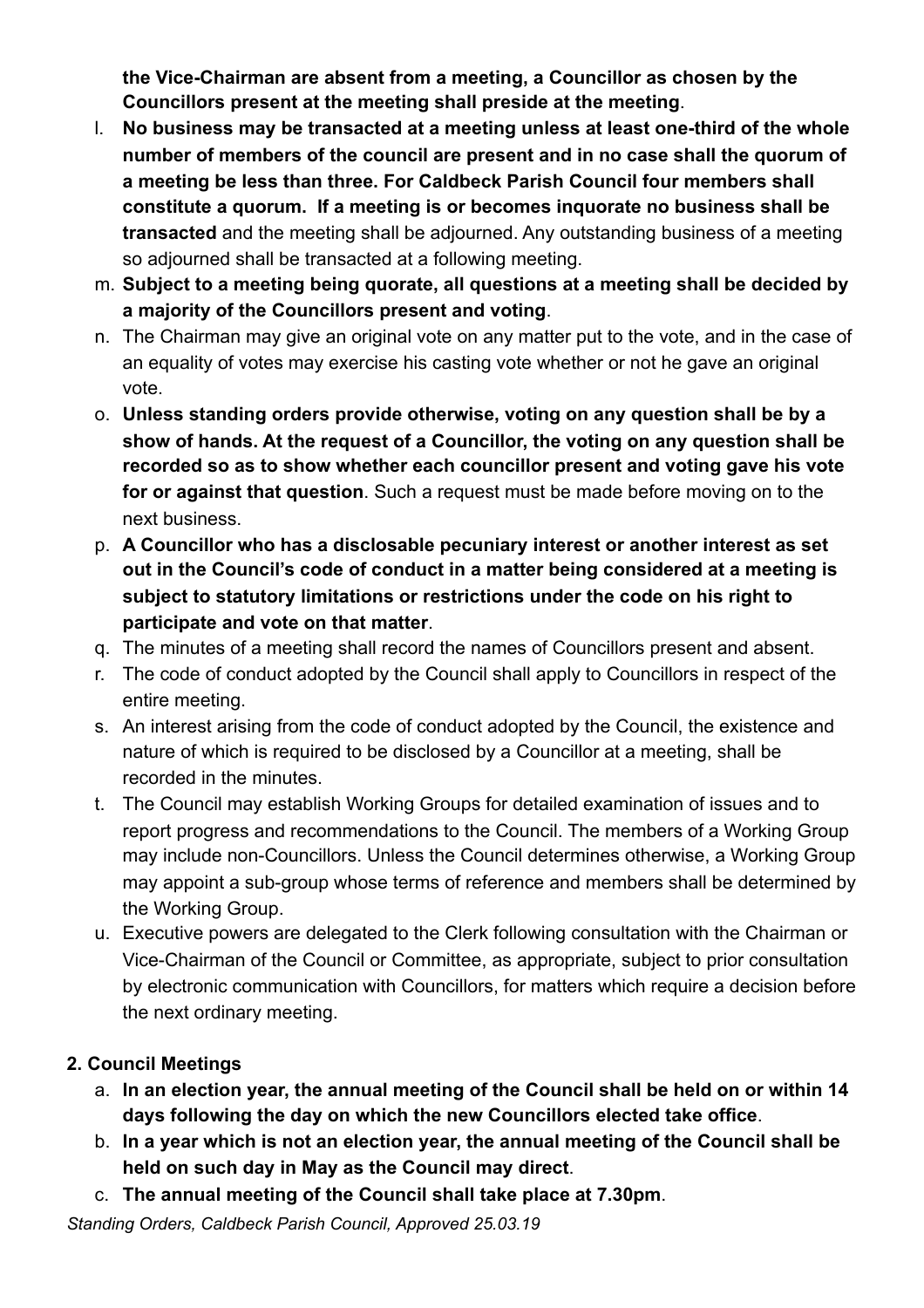**the Vice-Chairman are absent from a meeting, a Councillor as chosen by the Councillors present at the meeting shall preside at the meeting**.

- l. **No business may be transacted at a meeting unless at least one-third of the whole number of members of the council are present and in no case shall the quorum of a meeting be less than three. For Caldbeck Parish Council four members shall constitute a quorum. If a meeting is or becomes inquorate no business shall be transacted** and the meeting shall be adjourned. Any outstanding business of a meeting so adjourned shall be transacted at a following meeting.
- m. **Subject to a meeting being quorate, all questions at a meeting shall be decided by a majority of the Councillors present and voting**.
- n. The Chairman may give an original vote on any matter put to the vote, and in the case of an equality of votes may exercise his casting vote whether or not he gave an original vote.
- o. **Unless standing orders provide otherwise, voting on any question shall be by a show of hands. At the request of a Councillor, the voting on any question shall be recorded so as to show whether each councillor present and voting gave his vote for or against that question**. Such a request must be made before moving on to the next business.
- p. **A Councillor who has a disclosable pecuniary interest or another interest as set out in the Council's code of conduct in a matter being considered at a meeting is subject to statutory limitations or restrictions under the code on his right to participate and vote on that matter**.
- q. The minutes of a meeting shall record the names of Councillors present and absent.
- r. The code of conduct adopted by the Council shall apply to Councillors in respect of the entire meeting.
- s. An interest arising from the code of conduct adopted by the Council, the existence and nature of which is required to be disclosed by a Councillor at a meeting, shall be recorded in the minutes.
- t. The Council may establish Working Groups for detailed examination of issues and to report progress and recommendations to the Council. The members of a Working Group may include non-Councillors. Unless the Council determines otherwise, a Working Group may appoint a sub-group whose terms of reference and members shall be determined by the Working Group.
- u. Executive powers are delegated to the Clerk following consultation with the Chairman or Vice-Chairman of the Council or Committee, as appropriate, subject to prior consultation by electronic communication with Councillors, for matters which require a decision before the next ordinary meeting.

# **2. Council Meetings**

- a. **In an election year, the annual meeting of the Council shall be held on or within 14 days following the day on which the new Councillors elected take office**.
- b. **In a year which is not an election year, the annual meeting of the Council shall be held on such day in May as the Council may direct**.
- c. **The annual meeting of the Council shall take place at 7.30pm**.

*Standing Orders, Caldbeck Parish Council, Approved 25.03.19*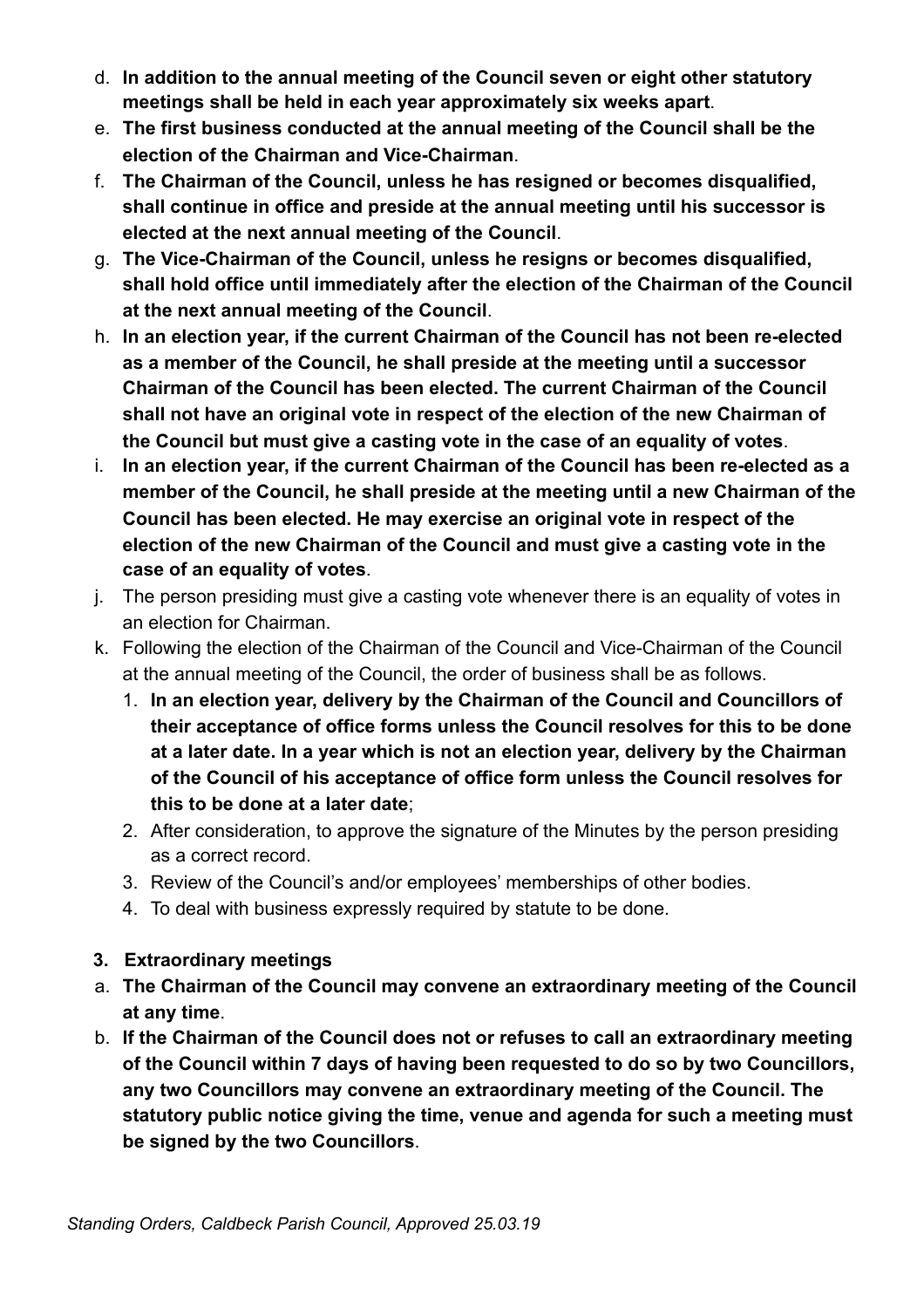- d. **In addition to the annual meeting of the Council seven or eight other statutory meetings shall be held in each year approximately six weeks apart**.
- e. **The first business conducted at the annual meeting of the Council shall be the election of the Chairman and Vice-Chairman**.
- f. **The Chairman of the Council, unless he has resigned or becomes disqualified, shall continue in office and preside at the annual meeting until his successor is elected at the next annual meeting of the Council**.
- g. **The Vice-Chairman of the Council, unless he resigns or becomes disqualified, shall hold office until immediately after the election of the Chairman of the Council at the next annual meeting of the Council**.
- h. **In an election year, if the current Chairman of the Council has not been re-elected as a member of the Council, he shall preside at the meeting until a successor Chairman of the Council has been elected. The current Chairman of the Council shall not have an original vote in respect of the election of the new Chairman of the Council but must give a casting vote in the case of an equality of votes**.
- i. **In an election year, if the current Chairman of the Council has been re-elected as a member of the Council, he shall preside at the meeting until a new Chairman of the Council has been elected. He may exercise an original vote in respect of the election of the new Chairman of the Council and must give a casting vote in the case of an equality of votes**.
- j. The person presiding must give a casting vote whenever there is an equality of votes in an election for Chairman.
- k. Following the election of the Chairman of the Council and Vice-Chairman of the Council at the annual meeting of the Council, the order of business shall be as follows.
	- 1. **In an election year, delivery by the Chairman of the Council and Councillors of their acceptance of office forms unless the Council resolves for this to be done at a later date. In a year which is not an election year, delivery by the Chairman of the Council of his acceptance of office form unless the Council resolves for this to be done at a later date**;
	- 2. After consideration, to approve the signature of the Minutes by the person presiding as a correct record.
	- 3. Review of the Council's and/or employees' memberships of other bodies.
	- 4. To deal with business expressly required by statute to be done.
- **3. Extraordinary meetings**
- a. **The Chairman of the Council may convene an extraordinary meeting of the Council at any time**.
- b. **If the Chairman of the Council does not or refuses to call an extraordinary meeting of the Council within 7 days of having been requested to do so by two Councillors, any two Councillors may convene an extraordinary meeting of the Council. The statutory public notice giving the time, venue and agenda for such a meeting must be signed by the two Councillors**.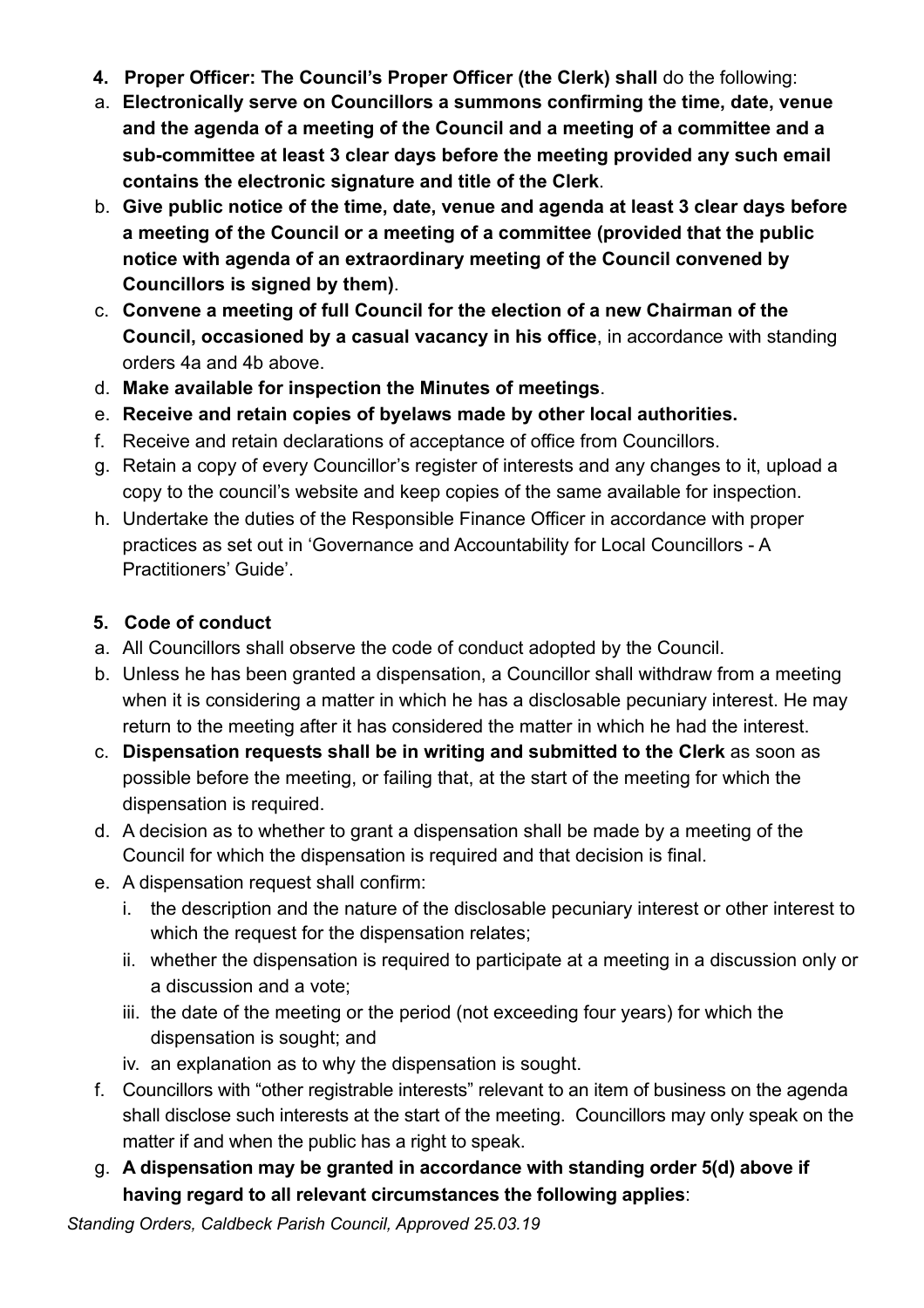- **4. Proper Officer: The Council's Proper Officer (the Clerk) shall** do the following:
- a. **Electronically serve on Councillors a summons confirming the time, date, venue and the agenda of a meeting of the Council and a meeting of a committee and a sub-committee at least 3 clear days before the meeting provided any such email contains the electronic signature and title of the Clerk**.
- b. **Give public notice of the time, date, venue and agenda at least 3 clear days before a meeting of the Council or a meeting of a committee (provided that the public notice with agenda of an extraordinary meeting of the Council convened by Councillors is signed by them)**.
- c. **Convene a meeting of full Council for the election of a new Chairman of the Council, occasioned by a casual vacancy in his office**, in accordance with standing orders 4a and 4b above.
- d. **Make available for inspection the Minutes of meetings**.
- e. **Receive and retain copies of byelaws made by other local authorities.**
- f. Receive and retain declarations of acceptance of office from Councillors.
- g. Retain a copy of every Councillor's register of interests and any changes to it, upload a copy to the council's website and keep copies of the same available for inspection.
- h. Undertake the duties of the Responsible Finance Officer in accordance with proper practices as set out in 'Governance and Accountability for Local Councillors - A Practitioners' Guide'.

### **5. Code of conduct**

- a. All Councillors shall observe the code of conduct adopted by the Council.
- b. Unless he has been granted a dispensation, a Councillor shall withdraw from a meeting when it is considering a matter in which he has a disclosable pecuniary interest. He may return to the meeting after it has considered the matter in which he had the interest.
- c. **Dispensation requests shall be in writing and submitted to the Clerk** as soon as possible before the meeting, or failing that, at the start of the meeting for which the dispensation is required.
- d. A decision as to whether to grant a dispensation shall be made by a meeting of the Council for which the dispensation is required and that decision is final.
- e. A dispensation request shall confirm:
	- i. the description and the nature of the disclosable pecuniary interest or other interest to which the request for the dispensation relates;
	- ii. whether the dispensation is required to participate at a meeting in a discussion only or a discussion and a vote;
	- iii. the date of the meeting or the period (not exceeding four years) for which the dispensation is sought; and
	- iv. an explanation as to why the dispensation is sought.
- f. Councillors with "other registrable interests" relevant to an item of business on the agenda shall disclose such interests at the start of the meeting. Councillors may only speak on the matter if and when the public has a right to speak.
- g. **A dispensation may be granted in accordance with standing order 5(d) above if having regard to all relevant circumstances the following applies**:

*Standing Orders, Caldbeck Parish Council, Approved 25.03.19*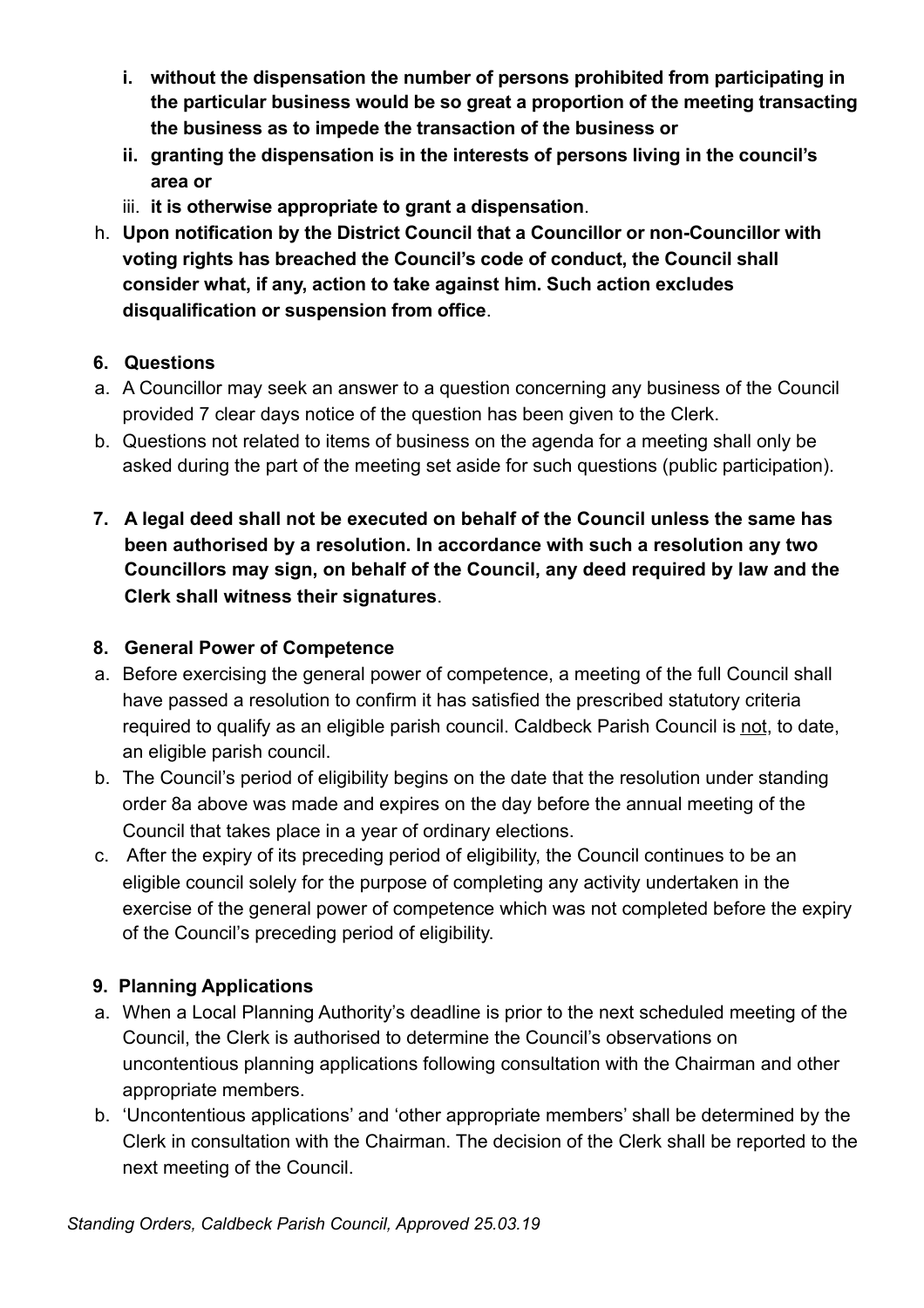- **i. without the dispensation the number of persons prohibited from participating in the particular business would be so great a proportion of the meeting transacting the business as to impede the transaction of the business or**
- **ii. granting the dispensation is in the interests of persons living in the council's area or**
- iii. **it is otherwise appropriate to grant a dispensation**.
- h. **Upon notification by the District Council that a Councillor or non-Councillor with voting rights has breached the Council's code of conduct, the Council shall consider what, if any, action to take against him. Such action excludes disqualification or suspension from office**.

### **6. Questions**

- a. A Councillor may seek an answer to a question concerning any business of the Council provided 7 clear days notice of the question has been given to the Clerk.
- b. Questions not related to items of business on the agenda for a meeting shall only be asked during the part of the meeting set aside for such questions (public participation).
- **7. A legal deed shall not be executed on behalf of the Council unless the same has been authorised by a resolution. In accordance with such a resolution any two Councillors may sign, on behalf of the Council, any deed required by law and the Clerk shall witness their signatures**.

## **8. General Power of Competence**

- a. Before exercising the general power of competence, a meeting of the full Council shall have passed a resolution to confirm it has satisfied the prescribed statutory criteria required to qualify as an eligible parish council. Caldbeck Parish Council is not, to date, an eligible parish council.
- b. The Council's period of eligibility begins on the date that the resolution under standing order 8a above was made and expires on the day before the annual meeting of the Council that takes place in a year of ordinary elections.
- c. After the expiry of its preceding period of eligibility, the Council continues to be an eligible council solely for the purpose of completing any activity undertaken in the exercise of the general power of competence which was not completed before the expiry of the Council's preceding period of eligibility.

# **9. Planning Applications**

- a. When a Local Planning Authority's deadline is prior to the next scheduled meeting of the Council, the Clerk is authorised to determine the Council's observations on uncontentious planning applications following consultation with the Chairman and other appropriate members.
- b. 'Uncontentious applications' and 'other appropriate members' shall be determined by the Clerk in consultation with the Chairman. The decision of the Clerk shall be reported to the next meeting of the Council.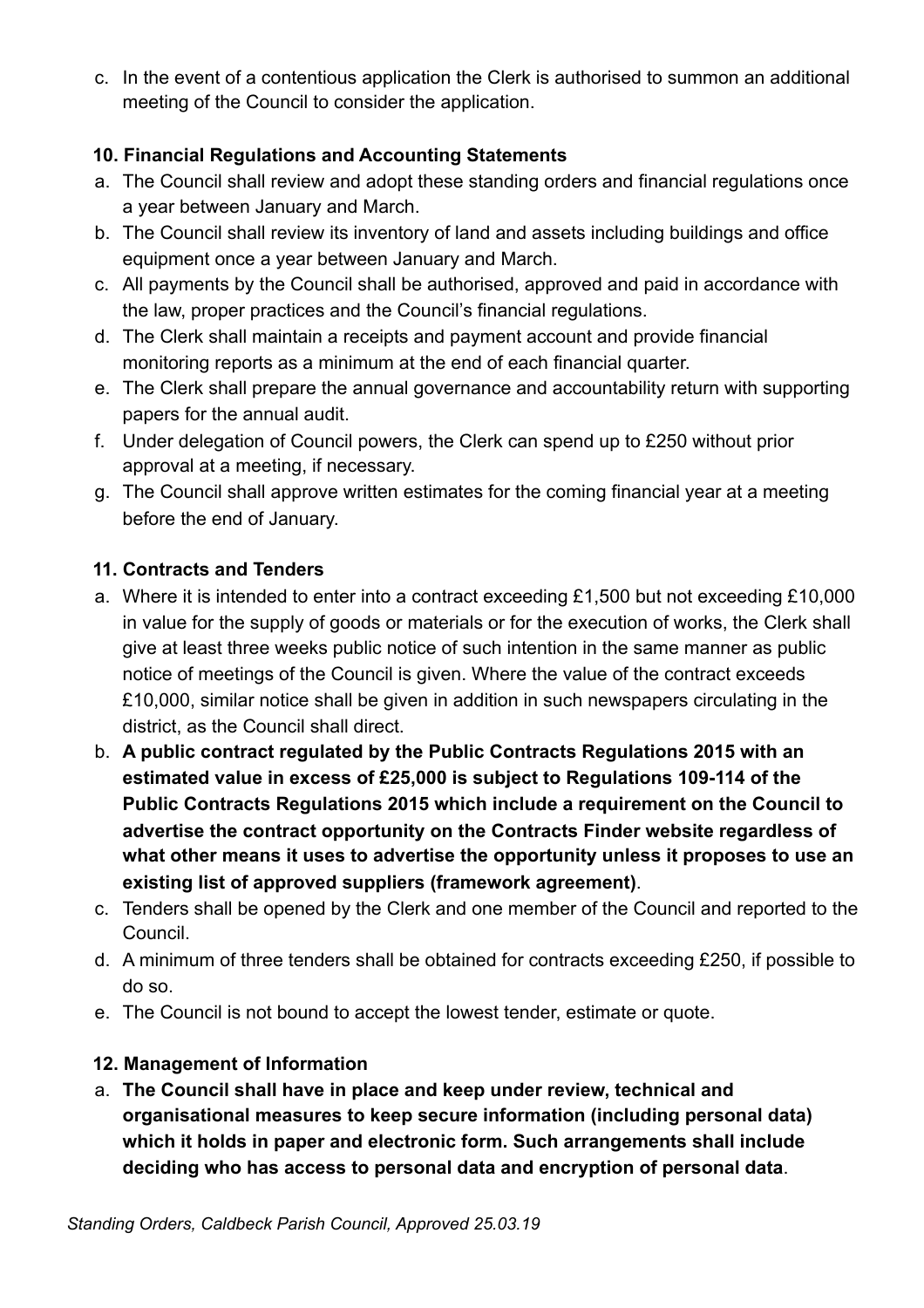c. In the event of a contentious application the Clerk is authorised to summon an additional meeting of the Council to consider the application.

### **10. Financial Regulations and Accounting Statements**

- a. The Council shall review and adopt these standing orders and financial regulations once a year between January and March.
- b. The Council shall review its inventory of land and assets including buildings and office equipment once a year between January and March.
- c. All payments by the Council shall be authorised, approved and paid in accordance with the law, proper practices and the Council's financial regulations.
- d. The Clerk shall maintain a receipts and payment account and provide financial monitoring reports as a minimum at the end of each financial quarter.
- e. The Clerk shall prepare the annual governance and accountability return with supporting papers for the annual audit.
- f. Under delegation of Council powers, the Clerk can spend up to £250 without prior approval at a meeting, if necessary.
- g. The Council shall approve written estimates for the coming financial year at a meeting before the end of January.

### **11. Contracts and Tenders**

- a. Where it is intended to enter into a contract exceeding £1,500 but not exceeding £10,000 in value for the supply of goods or materials or for the execution of works, the Clerk shall give at least three weeks public notice of such intention in the same manner as public notice of meetings of the Council is given. Where the value of the contract exceeds £10,000, similar notice shall be given in addition in such newspapers circulating in the district, as the Council shall direct.
- b. **A public contract regulated by the Public Contracts Regulations 2015 with an estimated value in excess of £25,000 is subject to Regulations 109-114 of the Public Contracts Regulations 2015 which include a requirement on the Council to advertise the contract opportunity on the Contracts Finder website regardless of what other means it uses to advertise the opportunity unless it proposes to use an existing list of approved suppliers (framework agreement)**.
- c. Tenders shall be opened by the Clerk and one member of the Council and reported to the Council.
- d. A minimum of three tenders shall be obtained for contracts exceeding £250, if possible to do so.
- e. The Council is not bound to accept the lowest tender, estimate or quote.

### **12. Management of Information**

a. **The Council shall have in place and keep under review, technical and organisational measures to keep secure information (including personal data) which it holds in paper and electronic form. Such arrangements shall include deciding who has access to personal data and encryption of personal data**.